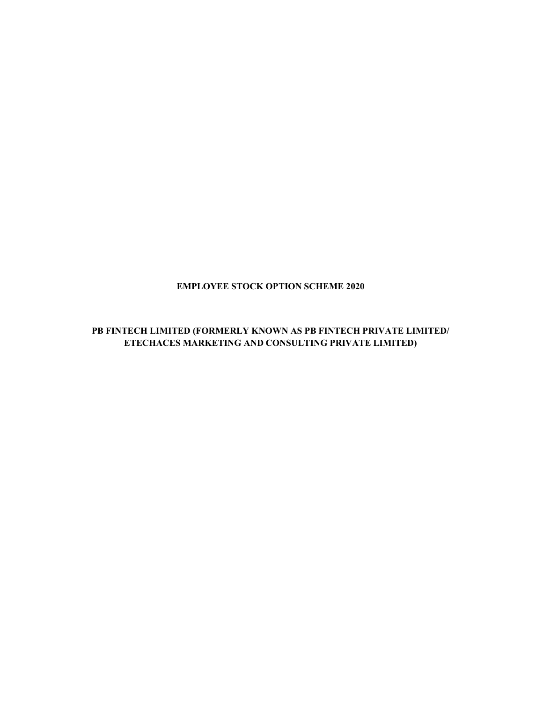# EMPLOYEE STOCK OPTION SCHEME 2020

# PB FINTECH LIMITED (FORMERLY KNOWN AS PB FINTECH PRIVATE LIMITED/ ETECHACES MARKETING AND CONSULTING PRIVATE LIMITED)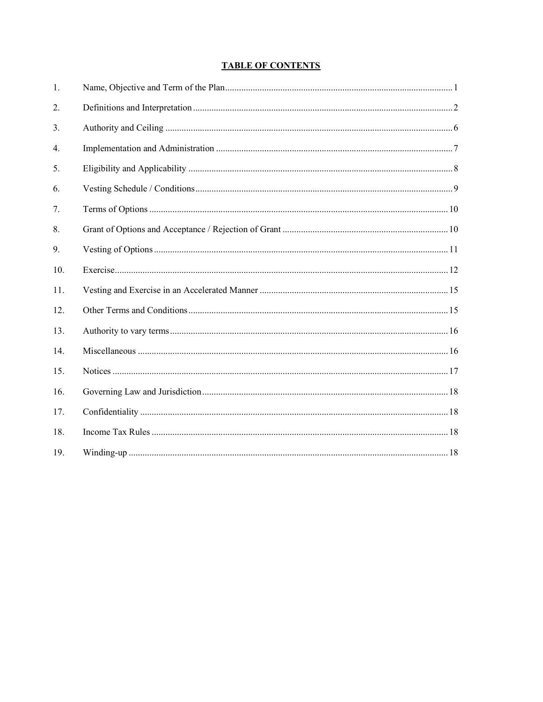# **TABLE OF CONTENTS**

| 1.  |  |
|-----|--|
| 2.  |  |
| 3.  |  |
| 4.  |  |
| 5.  |  |
| 6.  |  |
| 7.  |  |
| 8.  |  |
| 9.  |  |
| 10. |  |
| 11. |  |
| 12. |  |
| 13. |  |
| 14. |  |
| 15. |  |
| 16. |  |
| 17. |  |
| 18. |  |
| 19. |  |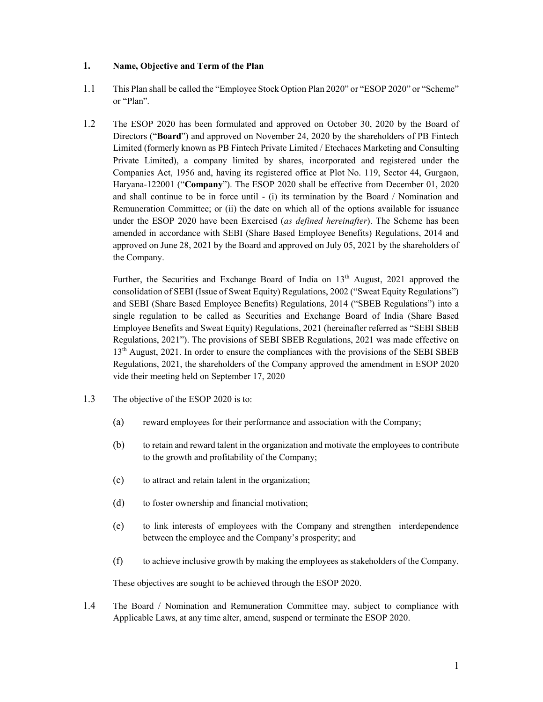#### 1. Name, Objective and Term of the Plan

- 1.1 This Plan shall be called the "Employee Stock Option Plan 2020" or "ESOP 2020" or "Scheme" or "Plan".
- 1.2 The ESOP 2020 has been formulated and approved on October 30, 2020 by the Board of Directors ("Board") and approved on November 24, 2020 by the shareholders of PB Fintech Limited (formerly known as PB Fintech Private Limited / Etechaces Marketing and Consulting Private Limited), a company limited by shares, incorporated and registered under the Companies Act, 1956 and, having its registered office at Plot No. 119, Sector 44, Gurgaon, Haryana-122001 ("Company"). The ESOP 2020 shall be effective from December 01, 2020 and shall continue to be in force until - (i) its termination by the Board / Nomination and Remuneration Committee; or (ii) the date on which all of the options available for issuance under the ESOP 2020 have been Exercised (as defined hereinafter). The Scheme has been amended in accordance with SEBI (Share Based Employee Benefits) Regulations, 2014 and approved on June 28, 2021 by the Board and approved on July 05, 2021 by the shareholders of the Company.

Further, the Securities and Exchange Board of India on  $13<sup>th</sup>$  August, 2021 approved the consolidation of SEBI (Issue of Sweat Equity) Regulations, 2002 ("Sweat Equity Regulations") and SEBI (Share Based Employee Benefits) Regulations, 2014 ("SBEB Regulations") into a single regulation to be called as Securities and Exchange Board of India (Share Based Employee Benefits and Sweat Equity) Regulations, 2021 (hereinafter referred as "SEBI SBEB Regulations, 2021"). The provisions of SEBI SBEB Regulations, 2021 was made effective on 13th August, 2021. In order to ensure the compliances with the provisions of the SEBI SBEB Regulations, 2021, the shareholders of the Company approved the amendment in ESOP 2020 vide their meeting held on September 17, 2020

- 1.3 The objective of the ESOP 2020 is to:
	- (a) reward employees for their performance and association with the Company;
	- (b) to retain and reward talent in the organization and motivate the employees to contribute to the growth and profitability of the Company;
	- (c) to attract and retain talent in the organization;
	- (d) to foster ownership and financial motivation;
	- (e) to link interests of employees with the Company and strengthen interdependence between the employee and the Company's prosperity; and
	- (f) to achieve inclusive growth by making the employees as stakeholders of the Company.

These objectives are sought to be achieved through the ESOP 2020.

1.4 The Board / Nomination and Remuneration Committee may, subject to compliance with Applicable Laws, at any time alter, amend, suspend or terminate the ESOP 2020.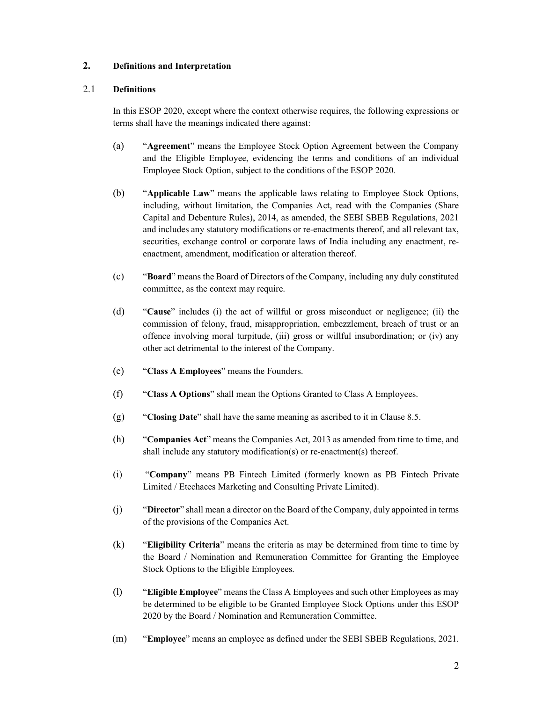# 2. Definitions and Interpretation

#### 2.1 Definitions

 In this ESOP 2020, except where the context otherwise requires, the following expressions or terms shall have the meanings indicated there against:

- (a) "Agreement" means the Employee Stock Option Agreement between the Company and the Eligible Employee, evidencing the terms and conditions of an individual Employee Stock Option, subject to the conditions of the ESOP 2020.
- (b) "Applicable Law" means the applicable laws relating to Employee Stock Options, including, without limitation, the Companies Act, read with the Companies (Share Capital and Debenture Rules), 2014, as amended, the SEBI SBEB Regulations, 2021 and includes any statutory modifications or re-enactments thereof, and all relevant tax, securities, exchange control or corporate laws of India including any enactment, reenactment, amendment, modification or alteration thereof.
- (c) "Board" means the Board of Directors of the Company, including any duly constituted committee, as the context may require.
- (d) "Cause" includes (i) the act of willful or gross misconduct or negligence; (ii) the commission of felony, fraud, misappropriation, embezzlement, breach of trust or an offence involving moral turpitude, (iii) gross or willful insubordination; or (iv) any other act detrimental to the interest of the Company.
- (e) "Class A Employees" means the Founders.
- (f) "Class A Options" shall mean the Options Granted to Class A Employees.
- (g) "Closing Date" shall have the same meaning as ascribed to it in Clause 8.5.
- (h) "Companies Act" means the Companies Act, 2013 as amended from time to time, and shall include any statutory modification(s) or re-enactment(s) thereof.
- (i) "Company" means PB Fintech Limited (formerly known as PB Fintech Private Limited / Etechaces Marketing and Consulting Private Limited).
- (j) "Director" shall mean a director on the Board of the Company, duly appointed in terms of the provisions of the Companies Act.
- (k) "Eligibility Criteria" means the criteria as may be determined from time to time by the Board / Nomination and Remuneration Committee for Granting the Employee Stock Options to the Eligible Employees.
- (l) "Eligible Employee" means the Class A Employees and such other Employees as may be determined to be eligible to be Granted Employee Stock Options under this ESOP 2020 by the Board / Nomination and Remuneration Committee.
- (m) "Employee" means an employee as defined under the SEBI SBEB Regulations, 2021.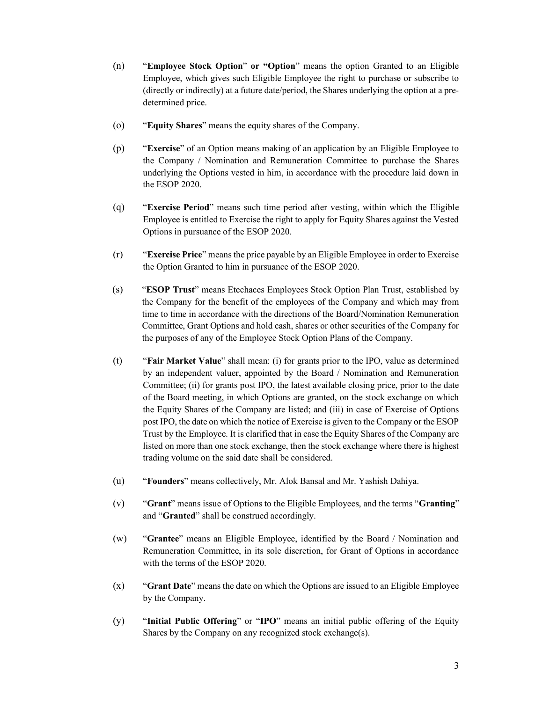- (n) "Employee Stock Option" or "Option" means the option Granted to an Eligible Employee, which gives such Eligible Employee the right to purchase or subscribe to (directly or indirectly) at a future date/period, the Shares underlying the option at a predetermined price.
- (o) "Equity Shares" means the equity shares of the Company.
- (p) "Exercise" of an Option means making of an application by an Eligible Employee to the Company / Nomination and Remuneration Committee to purchase the Shares underlying the Options vested in him, in accordance with the procedure laid down in the ESOP 2020.
- (q) "Exercise Period" means such time period after vesting, within which the Eligible Employee is entitled to Exercise the right to apply for Equity Shares against the Vested Options in pursuance of the ESOP 2020.
- (r) "Exercise Price" means the price payable by an Eligible Employee in order to Exercise the Option Granted to him in pursuance of the ESOP 2020.
- (s) "ESOP Trust" means Etechaces Employees Stock Option Plan Trust, established by the Company for the benefit of the employees of the Company and which may from time to time in accordance with the directions of the Board/Nomination Remuneration Committee, Grant Options and hold cash, shares or other securities of the Company for the purposes of any of the Employee Stock Option Plans of the Company.
- (t) "Fair Market Value" shall mean: (i) for grants prior to the IPO, value as determined by an independent valuer, appointed by the Board / Nomination and Remuneration Committee; (ii) for grants post IPO, the latest available closing price, prior to the date of the Board meeting, in which Options are granted, on the stock exchange on which the Equity Shares of the Company are listed; and (iii) in case of Exercise of Options post IPO, the date on which the notice of Exercise is given to the Company or the ESOP Trust by the Employee. It is clarified that in case the Equity Shares of the Company are listed on more than one stock exchange, then the stock exchange where there is highest trading volume on the said date shall be considered.
- (u) "Founders" means collectively, Mr. Alok Bansal and Mr. Yashish Dahiya.
- (v) "Grant" means issue of Options to the Eligible Employees, and the terms "Granting" and "Granted" shall be construed accordingly.
- (w) "Grantee" means an Eligible Employee, identified by the Board / Nomination and Remuneration Committee, in its sole discretion, for Grant of Options in accordance with the terms of the ESOP 2020.
- $(x)$  "Grant Date" means the date on which the Options are issued to an Eligible Employee by the Company.
- (y) "Initial Public Offering" or "IPO" means an initial public offering of the Equity Shares by the Company on any recognized stock exchange(s).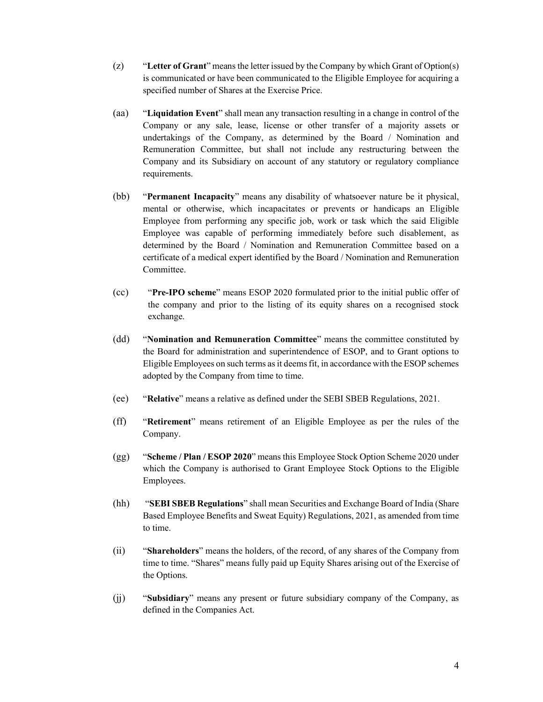- (z) "Letter of Grant" means the letter issued by the Company by which Grant of Option(s) is communicated or have been communicated to the Eligible Employee for acquiring a specified number of Shares at the Exercise Price.
- (aa) "Liquidation Event" shall mean any transaction resulting in a change in control of the Company or any sale, lease, license or other transfer of a majority assets or undertakings of the Company, as determined by the Board / Nomination and Remuneration Committee, but shall not include any restructuring between the Company and its Subsidiary on account of any statutory or regulatory compliance requirements.
- (bb) "Permanent Incapacity" means any disability of whatsoever nature be it physical, mental or otherwise, which incapacitates or prevents or handicaps an Eligible Employee from performing any specific job, work or task which the said Eligible Employee was capable of performing immediately before such disablement, as determined by the Board / Nomination and Remuneration Committee based on a certificate of a medical expert identified by the Board / Nomination and Remuneration Committee.
- (cc) "Pre-IPO scheme" means ESOP 2020 formulated prior to the initial public offer of the company and prior to the listing of its equity shares on a recognised stock exchange.
- (dd) "Nomination and Remuneration Committee" means the committee constituted by the Board for administration and superintendence of ESOP, and to Grant options to Eligible Employees on such terms as it deems fit, in accordance with the ESOP schemes adopted by the Company from time to time.
- (ee) "Relative" means a relative as defined under the SEBI SBEB Regulations, 2021.
- (ff) "Retirement" means retirement of an Eligible Employee as per the rules of the Company.
- (gg) "Scheme / Plan / ESOP 2020" means this Employee Stock Option Scheme 2020 under which the Company is authorised to Grant Employee Stock Options to the Eligible Employees.
- (hh) "SEBI SBEB Regulations" shall mean Securities and Exchange Board of India (Share Based Employee Benefits and Sweat Equity) Regulations, 2021, as amended from time to time.
- (ii) "Shareholders" means the holders, of the record, of any shares of the Company from time to time. "Shares" means fully paid up Equity Shares arising out of the Exercise of the Options.
- (jj) "Subsidiary" means any present or future subsidiary company of the Company, as defined in the Companies Act.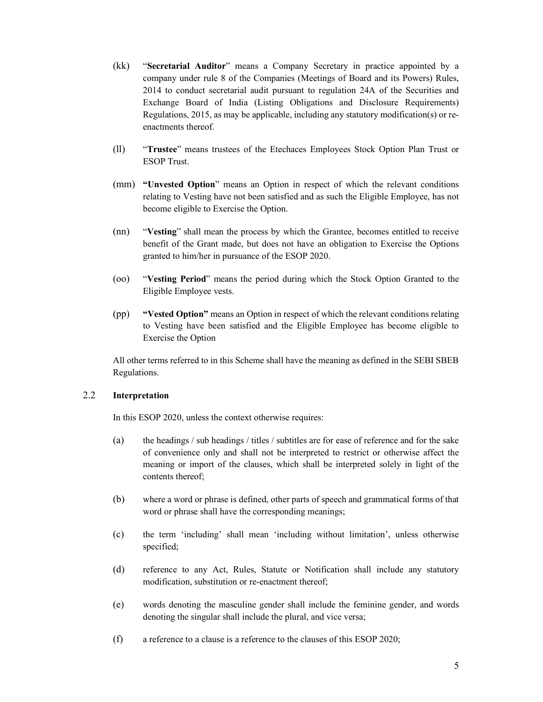- (kk) "Secretarial Auditor" means a Company Secretary in practice appointed by a company under rule 8 of the Companies (Meetings of Board and its Powers) Rules, 2014 to conduct secretarial audit pursuant to regulation 24A of the Securities and Exchange Board of India (Listing Obligations and Disclosure Requirements) Regulations, 2015, as may be applicable, including any statutory modification(s) or reenactments thereof.
- (ll) "Trustee" means trustees of the Etechaces Employees Stock Option Plan Trust or ESOP Trust.
- (mm) "Unvested Option" means an Option in respect of which the relevant conditions relating to Vesting have not been satisfied and as such the Eligible Employee, has not become eligible to Exercise the Option.
- (nn) "Vesting" shall mean the process by which the Grantee, becomes entitled to receive benefit of the Grant made, but does not have an obligation to Exercise the Options granted to him/her in pursuance of the ESOP 2020.
- (oo) "Vesting Period" means the period during which the Stock Option Granted to the Eligible Employee vests.
- (pp) "Vested Option" means an Option in respect of which the relevant conditions relating to Vesting have been satisfied and the Eligible Employee has become eligible to Exercise the Option

All other terms referred to in this Scheme shall have the meaning as defined in the SEBI SBEB Regulations.

#### 2.2 Interpretation

In this ESOP 2020, unless the context otherwise requires:

- (a) the headings / sub headings / titles / subtitles are for ease of reference and for the sake of convenience only and shall not be interpreted to restrict or otherwise affect the meaning or import of the clauses, which shall be interpreted solely in light of the contents thereof;
- (b) where a word or phrase is defined, other parts of speech and grammatical forms of that word or phrase shall have the corresponding meanings;
- (c) the term 'including' shall mean 'including without limitation', unless otherwise specified;
- (d) reference to any Act, Rules, Statute or Notification shall include any statutory modification, substitution or re-enactment thereof;
- (e) words denoting the masculine gender shall include the feminine gender, and words denoting the singular shall include the plural, and vice versa;
- (f) a reference to a clause is a reference to the clauses of this ESOP 2020;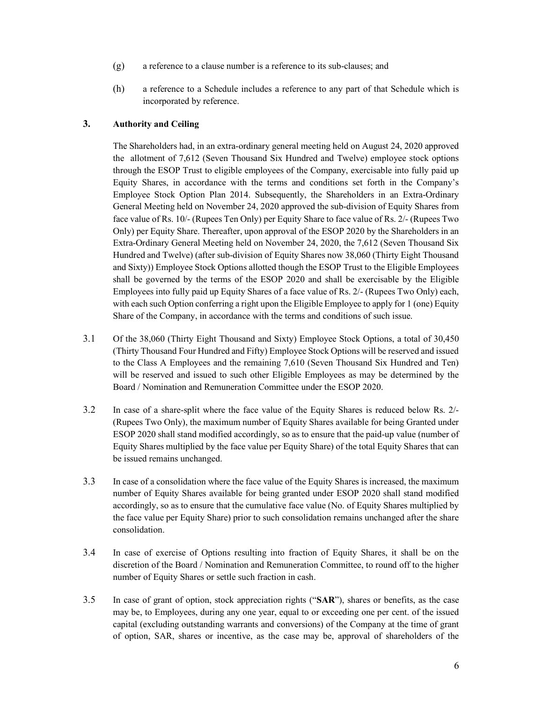- (g) a reference to a clause number is a reference to its sub-clauses; and
- (h) a reference to a Schedule includes a reference to any part of that Schedule which is incorporated by reference.

## 3. Authority and Ceiling

The Shareholders had, in an extra-ordinary general meeting held on August 24, 2020 approved the allotment of 7,612 (Seven Thousand Six Hundred and Twelve) employee stock options through the ESOP Trust to eligible employees of the Company, exercisable into fully paid up Equity Shares, in accordance with the terms and conditions set forth in the Company's Employee Stock Option Plan 2014. Subsequently, the Shareholders in an Extra-Ordinary General Meeting held on November 24, 2020 approved the sub-division of Equity Shares from face value of Rs. 10/- (Rupees Ten Only) per Equity Share to face value of Rs. 2/- (Rupees Two Only) per Equity Share. Thereafter, upon approval of the ESOP 2020 by the Shareholders in an Extra-Ordinary General Meeting held on November 24, 2020, the 7,612 (Seven Thousand Six Hundred and Twelve) (after sub-division of Equity Shares now 38,060 (Thirty Eight Thousand and Sixty)) Employee Stock Options allotted though the ESOP Trust to the Eligible Employees shall be governed by the terms of the ESOP 2020 and shall be exercisable by the Eligible Employees into fully paid up Equity Shares of a face value of Rs. 2/- (Rupees Two Only) each, with each such Option conferring a right upon the Eligible Employee to apply for 1 (one) Equity Share of the Company, in accordance with the terms and conditions of such issue.

- 3.1 Of the 38,060 (Thirty Eight Thousand and Sixty) Employee Stock Options, a total of 30,450 (Thirty Thousand Four Hundred and Fifty) Employee Stock Options will be reserved and issued to the Class A Employees and the remaining 7,610 (Seven Thousand Six Hundred and Ten) will be reserved and issued to such other Eligible Employees as may be determined by the Board / Nomination and Remuneration Committee under the ESOP 2020.
- 3.2 In case of a share-split where the face value of the Equity Shares is reduced below Rs. 2/- (Rupees Two Only), the maximum number of Equity Shares available for being Granted under ESOP 2020 shall stand modified accordingly, so as to ensure that the paid-up value (number of Equity Shares multiplied by the face value per Equity Share) of the total Equity Shares that can be issued remains unchanged.
- 3.3 In case of a consolidation where the face value of the Equity Shares is increased, the maximum number of Equity Shares available for being granted under ESOP 2020 shall stand modified accordingly, so as to ensure that the cumulative face value (No. of Equity Shares multiplied by the face value per Equity Share) prior to such consolidation remains unchanged after the share consolidation.
- 3.4 In case of exercise of Options resulting into fraction of Equity Shares, it shall be on the discretion of the Board / Nomination and Remuneration Committee, to round off to the higher number of Equity Shares or settle such fraction in cash.
- 3.5 In case of grant of option, stock appreciation rights ("SAR"), shares or benefits, as the case may be, to Employees, during any one year, equal to or exceeding one per cent. of the issued capital (excluding outstanding warrants and conversions) of the Company at the time of grant of option, SAR, shares or incentive, as the case may be, approval of shareholders of the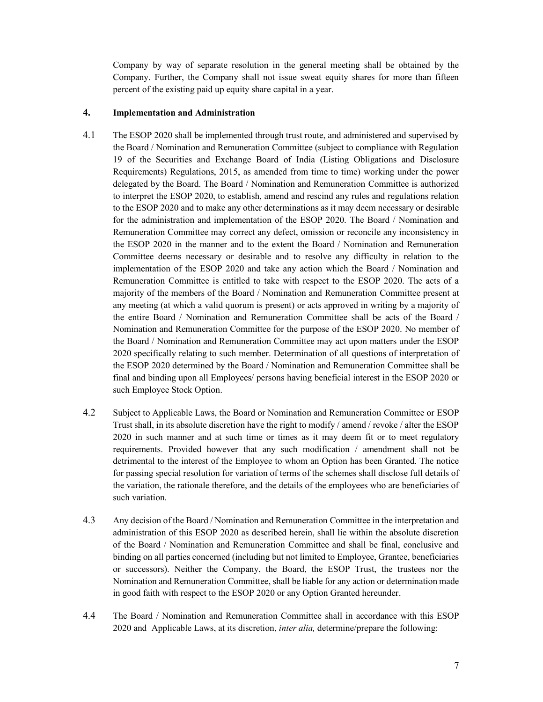Company by way of separate resolution in the general meeting shall be obtained by the Company. Further, the Company shall not issue sweat equity shares for more than fifteen percent of the existing paid up equity share capital in a year.

#### 4. Implementation and Administration

- 4.1 The ESOP 2020 shall be implemented through trust route, and administered and supervised by the Board / Nomination and Remuneration Committee (subject to compliance with Regulation 19 of the Securities and Exchange Board of India (Listing Obligations and Disclosure Requirements) Regulations, 2015, as amended from time to time) working under the power delegated by the Board. The Board / Nomination and Remuneration Committee is authorized to interpret the ESOP 2020, to establish, amend and rescind any rules and regulations relation to the ESOP 2020 and to make any other determinations as it may deem necessary or desirable for the administration and implementation of the ESOP 2020. The Board / Nomination and Remuneration Committee may correct any defect, omission or reconcile any inconsistency in the ESOP 2020 in the manner and to the extent the Board / Nomination and Remuneration Committee deems necessary or desirable and to resolve any difficulty in relation to the implementation of the ESOP 2020 and take any action which the Board / Nomination and Remuneration Committee is entitled to take with respect to the ESOP 2020. The acts of a majority of the members of the Board / Nomination and Remuneration Committee present at any meeting (at which a valid quorum is present) or acts approved in writing by a majority of the entire Board / Nomination and Remuneration Committee shall be acts of the Board / Nomination and Remuneration Committee for the purpose of the ESOP 2020. No member of the Board / Nomination and Remuneration Committee may act upon matters under the ESOP 2020 specifically relating to such member. Determination of all questions of interpretation of the ESOP 2020 determined by the Board / Nomination and Remuneration Committee shall be final and binding upon all Employees/ persons having beneficial interest in the ESOP 2020 or such Employee Stock Option.
- 4.2 Subject to Applicable Laws, the Board or Nomination and Remuneration Committee or ESOP Trust shall, in its absolute discretion have the right to modify / amend / revoke / alter the ESOP 2020 in such manner and at such time or times as it may deem fit or to meet regulatory requirements. Provided however that any such modification / amendment shall not be detrimental to the interest of the Employee to whom an Option has been Granted. The notice for passing special resolution for variation of terms of the schemes shall disclose full details of the variation, the rationale therefore, and the details of the employees who are beneficiaries of such variation.
- 4.3 Any decision of the Board / Nomination and Remuneration Committee in the interpretation and administration of this ESOP 2020 as described herein, shall lie within the absolute discretion of the Board / Nomination and Remuneration Committee and shall be final, conclusive and binding on all parties concerned (including but not limited to Employee, Grantee, beneficiaries or successors). Neither the Company, the Board, the ESOP Trust, the trustees nor the Nomination and Remuneration Committee, shall be liable for any action or determination made in good faith with respect to the ESOP 2020 or any Option Granted hereunder.
- 4.4 The Board / Nomination and Remuneration Committee shall in accordance with this ESOP 2020 and Applicable Laws, at its discretion, inter alia, determine/prepare the following: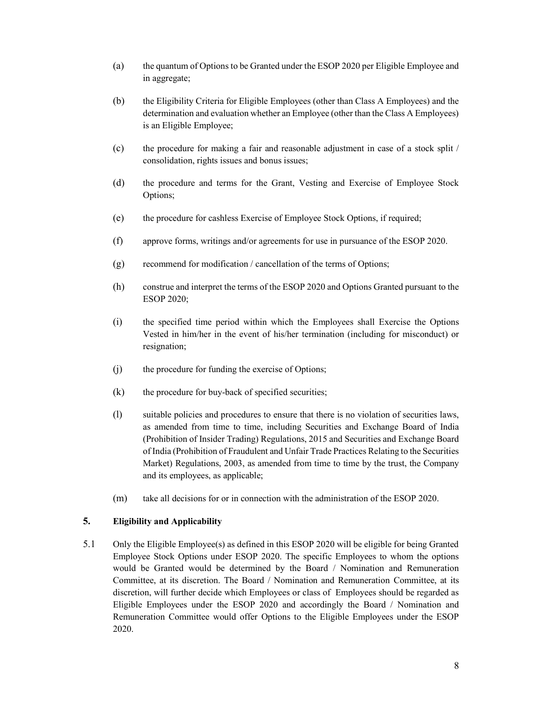- (a) the quantum of Options to be Granted under the ESOP 2020 per Eligible Employee and in aggregate;
- (b) the Eligibility Criteria for Eligible Employees (other than Class A Employees) and the determination and evaluation whether an Employee (other than the Class A Employees) is an Eligible Employee;
- (c) the procedure for making a fair and reasonable adjustment in case of a stock split / consolidation, rights issues and bonus issues;
- (d) the procedure and terms for the Grant, Vesting and Exercise of Employee Stock Options;
- (e) the procedure for cashless Exercise of Employee Stock Options, if required;
- (f) approve forms, writings and/or agreements for use in pursuance of the ESOP 2020.
- $(g)$  recommend for modification / cancellation of the terms of Options;
- (h) construe and interpret the terms of the ESOP 2020 and Options Granted pursuant to the ESOP 2020;
- (i) the specified time period within which the Employees shall Exercise the Options Vested in him/her in the event of his/her termination (including for misconduct) or resignation;
- (j) the procedure for funding the exercise of Options;
- $(k)$  the procedure for buy-back of specified securities;
- (l) suitable policies and procedures to ensure that there is no violation of securities laws, as amended from time to time, including Securities and Exchange Board of India (Prohibition of Insider Trading) Regulations, 2015 and Securities and Exchange Board of India (Prohibition of Fraudulent and Unfair Trade Practices Relating to the Securities Market) Regulations, 2003, as amended from time to time by the trust, the Company and its employees, as applicable;
- (m) take all decisions for or in connection with the administration of the ESOP 2020.

## 5. Eligibility and Applicability

5.1 Only the Eligible Employee(s) as defined in this ESOP 2020 will be eligible for being Granted Employee Stock Options under ESOP 2020. The specific Employees to whom the options would be Granted would be determined by the Board / Nomination and Remuneration Committee, at its discretion. The Board / Nomination and Remuneration Committee, at its discretion, will further decide which Employees or class of Employees should be regarded as Eligible Employees under the ESOP 2020 and accordingly the Board / Nomination and Remuneration Committee would offer Options to the Eligible Employees under the ESOP 2020.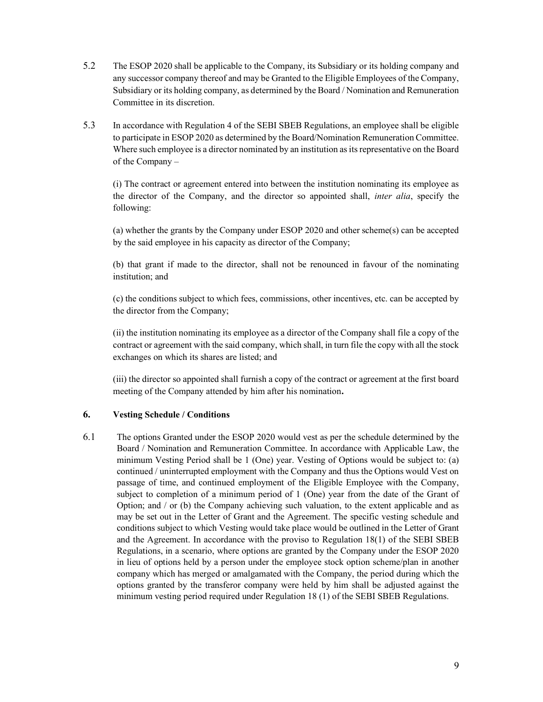- 5.2 The ESOP 2020 shall be applicable to the Company, its Subsidiary or its holding company and any successor company thereof and may be Granted to the Eligible Employees of the Company, Subsidiary or its holding company, as determined by the Board / Nomination and Remuneration Committee in its discretion.
- 5.3 In accordance with Regulation 4 of the SEBI SBEB Regulations, an employee shall be eligible to participate in ESOP 2020 as determined by the Board/Nomination Remuneration Committee. Where such employee is a director nominated by an institution as its representative on the Board of the Company –

(i) The contract or agreement entered into between the institution nominating its employee as the director of the Company, and the director so appointed shall, inter alia, specify the following:

(a) whether the grants by the Company under ESOP 2020 and other scheme(s) can be accepted by the said employee in his capacity as director of the Company;

(b) that grant if made to the director, shall not be renounced in favour of the nominating institution; and

(c) the conditions subject to which fees, commissions, other incentives, etc. can be accepted by the director from the Company;

(ii) the institution nominating its employee as a director of the Company shall file a copy of the contract or agreement with the said company, which shall, in turn file the copy with all the stock exchanges on which its shares are listed; and

(iii) the director so appointed shall furnish a copy of the contract or agreement at the first board meeting of the Company attended by him after his nomination.

## 6. Vesting Schedule / Conditions

6.1 The options Granted under the ESOP 2020 would vest as per the schedule determined by the Board / Nomination and Remuneration Committee. In accordance with Applicable Law, the minimum Vesting Period shall be 1 (One) year. Vesting of Options would be subject to: (a) continued / uninterrupted employment with the Company and thus the Options would Vest on passage of time, and continued employment of the Eligible Employee with the Company, subject to completion of a minimum period of 1 (One) year from the date of the Grant of Option; and / or (b) the Company achieving such valuation, to the extent applicable and as may be set out in the Letter of Grant and the Agreement. The specific vesting schedule and conditions subject to which Vesting would take place would be outlined in the Letter of Grant and the Agreement. In accordance with the proviso to Regulation 18(1) of the SEBI SBEB Regulations, in a scenario, where options are granted by the Company under the ESOP 2020 in lieu of options held by a person under the employee stock option scheme/plan in another company which has merged or amalgamated with the Company, the period during which the options granted by the transferor company were held by him shall be adjusted against the minimum vesting period required under Regulation 18 (1) of the SEBI SBEB Regulations.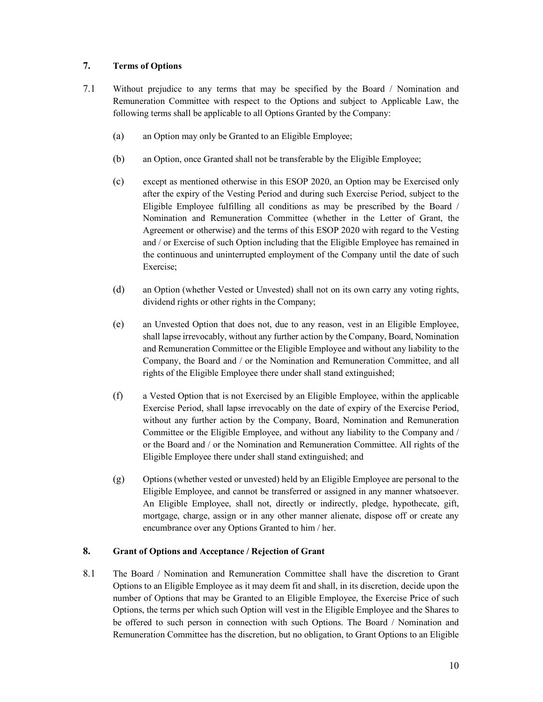## 7. Terms of Options

- 7.1 Without prejudice to any terms that may be specified by the Board / Nomination and Remuneration Committee with respect to the Options and subject to Applicable Law, the following terms shall be applicable to all Options Granted by the Company:
	- (a) an Option may only be Granted to an Eligible Employee;
	- (b) an Option, once Granted shall not be transferable by the Eligible Employee;
	- (c) except as mentioned otherwise in this ESOP 2020, an Option may be Exercised only after the expiry of the Vesting Period and during such Exercise Period, subject to the Eligible Employee fulfilling all conditions as may be prescribed by the Board / Nomination and Remuneration Committee (whether in the Letter of Grant, the Agreement or otherwise) and the terms of this ESOP 2020 with regard to the Vesting and / or Exercise of such Option including that the Eligible Employee has remained in the continuous and uninterrupted employment of the Company until the date of such Exercise;
	- (d) an Option (whether Vested or Unvested) shall not on its own carry any voting rights, dividend rights or other rights in the Company;
	- (e) an Unvested Option that does not, due to any reason, vest in an Eligible Employee, shall lapse irrevocably, without any further action by the Company, Board, Nomination and Remuneration Committee or the Eligible Employee and without any liability to the Company, the Board and / or the Nomination and Remuneration Committee, and all rights of the Eligible Employee there under shall stand extinguished;
	- (f) a Vested Option that is not Exercised by an Eligible Employee, within the applicable Exercise Period, shall lapse irrevocably on the date of expiry of the Exercise Period, without any further action by the Company, Board, Nomination and Remuneration Committee or the Eligible Employee, and without any liability to the Company and / or the Board and / or the Nomination and Remuneration Committee. All rights of the Eligible Employee there under shall stand extinguished; and
	- (g) Options (whether vested or unvested) held by an Eligible Employee are personal to the Eligible Employee, and cannot be transferred or assigned in any manner whatsoever. An Eligible Employee, shall not, directly or indirectly, pledge, hypothecate, gift, mortgage, charge, assign or in any other manner alienate, dispose off or create any encumbrance over any Options Granted to him / her.

## 8. Grant of Options and Acceptance / Rejection of Grant

8.1 The Board / Nomination and Remuneration Committee shall have the discretion to Grant Options to an Eligible Employee as it may deem fit and shall, in its discretion, decide upon the number of Options that may be Granted to an Eligible Employee, the Exercise Price of such Options, the terms per which such Option will vest in the Eligible Employee and the Shares to be offered to such person in connection with such Options. The Board / Nomination and Remuneration Committee has the discretion, but no obligation, to Grant Options to an Eligible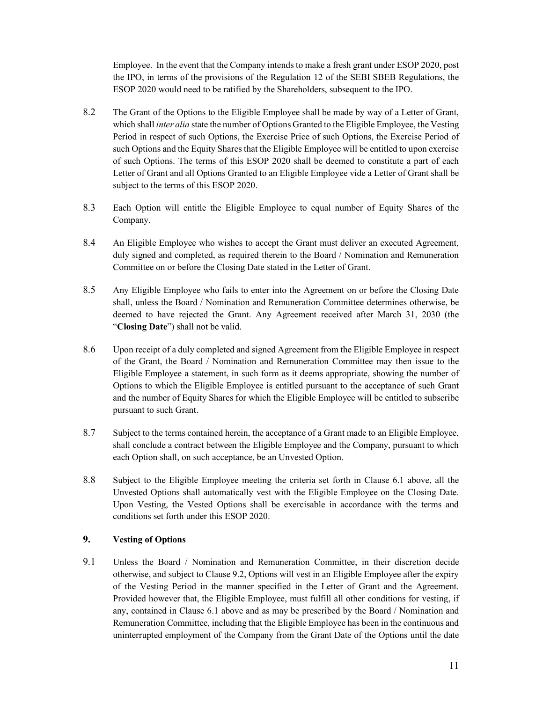Employee. In the event that the Company intends to make a fresh grant under ESOP 2020, post the IPO, in terms of the provisions of the Regulation 12 of the SEBI SBEB Regulations, the ESOP 2020 would need to be ratified by the Shareholders, subsequent to the IPO.

- 8.2 The Grant of the Options to the Eligible Employee shall be made by way of a Letter of Grant, which shall *inter alia* state the number of Options Granted to the Eligible Employee, the Vesting Period in respect of such Options, the Exercise Price of such Options, the Exercise Period of such Options and the Equity Shares that the Eligible Employee will be entitled to upon exercise of such Options. The terms of this ESOP 2020 shall be deemed to constitute a part of each Letter of Grant and all Options Granted to an Eligible Employee vide a Letter of Grant shall be subject to the terms of this ESOP 2020.
- 8.3 Each Option will entitle the Eligible Employee to equal number of Equity Shares of the Company.
- 8.4 An Eligible Employee who wishes to accept the Grant must deliver an executed Agreement, duly signed and completed, as required therein to the Board / Nomination and Remuneration Committee on or before the Closing Date stated in the Letter of Grant.
- 8.5 Any Eligible Employee who fails to enter into the Agreement on or before the Closing Date shall, unless the Board / Nomination and Remuneration Committee determines otherwise, be deemed to have rejected the Grant. Any Agreement received after March 31, 2030 (the "Closing Date") shall not be valid.
- 8.6 Upon receipt of a duly completed and signed Agreement from the Eligible Employee in respect of the Grant, the Board / Nomination and Remuneration Committee may then issue to the Eligible Employee a statement, in such form as it deems appropriate, showing the number of Options to which the Eligible Employee is entitled pursuant to the acceptance of such Grant and the number of Equity Shares for which the Eligible Employee will be entitled to subscribe pursuant to such Grant.
- 8.7 Subject to the terms contained herein, the acceptance of a Grant made to an Eligible Employee, shall conclude a contract between the Eligible Employee and the Company, pursuant to which each Option shall, on such acceptance, be an Unvested Option.
- 8.8 Subject to the Eligible Employee meeting the criteria set forth in Clause 6.1 above, all the Unvested Options shall automatically vest with the Eligible Employee on the Closing Date. Upon Vesting, the Vested Options shall be exercisable in accordance with the terms and conditions set forth under this ESOP 2020.

## 9. Vesting of Options

9.1 Unless the Board / Nomination and Remuneration Committee, in their discretion decide otherwise, and subject to Clause 9.2, Options will vest in an Eligible Employee after the expiry of the Vesting Period in the manner specified in the Letter of Grant and the Agreement. Provided however that, the Eligible Employee, must fulfill all other conditions for vesting, if any, contained in Clause 6.1 above and as may be prescribed by the Board / Nomination and Remuneration Committee, including that the Eligible Employee has been in the continuous and uninterrupted employment of the Company from the Grant Date of the Options until the date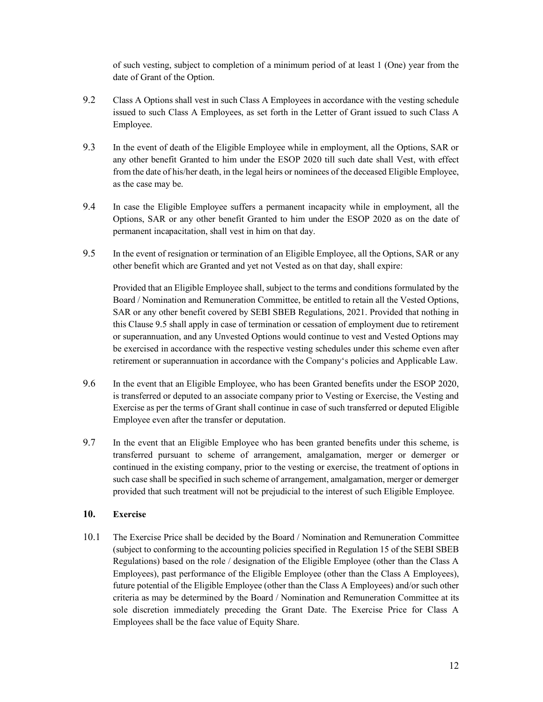of such vesting, subject to completion of a minimum period of at least 1 (One) year from the date of Grant of the Option.

- 9.2 Class A Options shall vest in such Class A Employees in accordance with the vesting schedule issued to such Class A Employees, as set forth in the Letter of Grant issued to such Class A Employee.
- 9.3 In the event of death of the Eligible Employee while in employment, all the Options, SAR or any other benefit Granted to him under the ESOP 2020 till such date shall Vest, with effect from the date of his/her death, in the legal heirs or nominees of the deceased Eligible Employee, as the case may be.
- 9.4 In case the Eligible Employee suffers a permanent incapacity while in employment, all the Options, SAR or any other benefit Granted to him under the ESOP 2020 as on the date of permanent incapacitation, shall vest in him on that day.
- 9.5 In the event of resignation or termination of an Eligible Employee, all the Options, SAR or any other benefit which are Granted and yet not Vested as on that day, shall expire:

Provided that an Eligible Employee shall, subject to the terms and conditions formulated by the Board / Nomination and Remuneration Committee, be entitled to retain all the Vested Options, SAR or any other benefit covered by SEBI SBEB Regulations, 2021. Provided that nothing in this Clause 9.5 shall apply in case of termination or cessation of employment due to retirement or superannuation, and any Unvested Options would continue to vest and Vested Options may be exercised in accordance with the respective vesting schedules under this scheme even after retirement or superannuation in accordance with the Company's policies and Applicable Law.

- 9.6 In the event that an Eligible Employee, who has been Granted benefits under the ESOP 2020, is transferred or deputed to an associate company prior to Vesting or Exercise, the Vesting and Exercise as per the terms of Grant shall continue in case of such transferred or deputed Eligible Employee even after the transfer or deputation.
- 9.7 In the event that an Eligible Employee who has been granted benefits under this scheme, is transferred pursuant to scheme of arrangement, amalgamation, merger or demerger or continued in the existing company, prior to the vesting or exercise, the treatment of options in such case shall be specified in such scheme of arrangement, amalgamation, merger or demerger provided that such treatment will not be prejudicial to the interest of such Eligible Employee.

## 10. Exercise

10.1 The Exercise Price shall be decided by the Board / Nomination and Remuneration Committee (subject to conforming to the accounting policies specified in Regulation 15 of the SEBI SBEB Regulations) based on the role / designation of the Eligible Employee (other than the Class A Employees), past performance of the Eligible Employee (other than the Class A Employees), future potential of the Eligible Employee (other than the Class A Employees) and/or such other criteria as may be determined by the Board / Nomination and Remuneration Committee at its sole discretion immediately preceding the Grant Date. The Exercise Price for Class A Employees shall be the face value of Equity Share.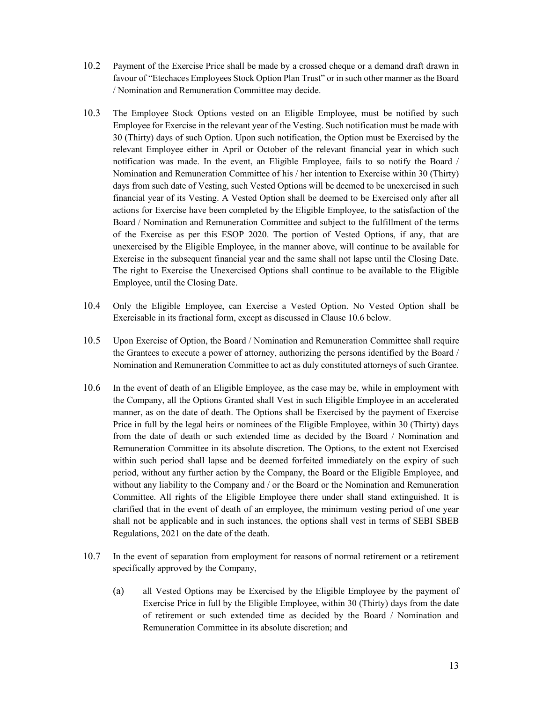- 10.2 Payment of the Exercise Price shall be made by a crossed cheque or a demand draft drawn in favour of "Etechaces Employees Stock Option Plan Trust" or in such other manner as the Board / Nomination and Remuneration Committee may decide.
- 10.3 The Employee Stock Options vested on an Eligible Employee, must be notified by such Employee for Exercise in the relevant year of the Vesting. Such notification must be made with 30 (Thirty) days of such Option. Upon such notification, the Option must be Exercised by the relevant Employee either in April or October of the relevant financial year in which such notification was made. In the event, an Eligible Employee, fails to so notify the Board / Nomination and Remuneration Committee of his / her intention to Exercise within 30 (Thirty) days from such date of Vesting, such Vested Options will be deemed to be unexercised in such financial year of its Vesting. A Vested Option shall be deemed to be Exercised only after all actions for Exercise have been completed by the Eligible Employee, to the satisfaction of the Board / Nomination and Remuneration Committee and subject to the fulfillment of the terms of the Exercise as per this ESOP 2020. The portion of Vested Options, if any, that are unexercised by the Eligible Employee, in the manner above, will continue to be available for Exercise in the subsequent financial year and the same shall not lapse until the Closing Date. The right to Exercise the Unexercised Options shall continue to be available to the Eligible Employee, until the Closing Date.
- 10.4 Only the Eligible Employee, can Exercise a Vested Option. No Vested Option shall be Exercisable in its fractional form, except as discussed in Clause 10.6 below.
- 10.5 Upon Exercise of Option, the Board / Nomination and Remuneration Committee shall require the Grantees to execute a power of attorney, authorizing the persons identified by the Board / Nomination and Remuneration Committee to act as duly constituted attorneys of such Grantee.
- 10.6 In the event of death of an Eligible Employee, as the case may be, while in employment with the Company, all the Options Granted shall Vest in such Eligible Employee in an accelerated manner, as on the date of death. The Options shall be Exercised by the payment of Exercise Price in full by the legal heirs or nominees of the Eligible Employee, within 30 (Thirty) days from the date of death or such extended time as decided by the Board / Nomination and Remuneration Committee in its absolute discretion. The Options, to the extent not Exercised within such period shall lapse and be deemed forfeited immediately on the expiry of such period, without any further action by the Company, the Board or the Eligible Employee, and without any liability to the Company and / or the Board or the Nomination and Remuneration Committee. All rights of the Eligible Employee there under shall stand extinguished. It is clarified that in the event of death of an employee, the minimum vesting period of one year shall not be applicable and in such instances, the options shall vest in terms of SEBI SBEB Regulations, 2021 on the date of the death.
- 10.7 In the event of separation from employment for reasons of normal retirement or a retirement specifically approved by the Company,
	- (a) all Vested Options may be Exercised by the Eligible Employee by the payment of Exercise Price in full by the Eligible Employee, within 30 (Thirty) days from the date of retirement or such extended time as decided by the Board / Nomination and Remuneration Committee in its absolute discretion; and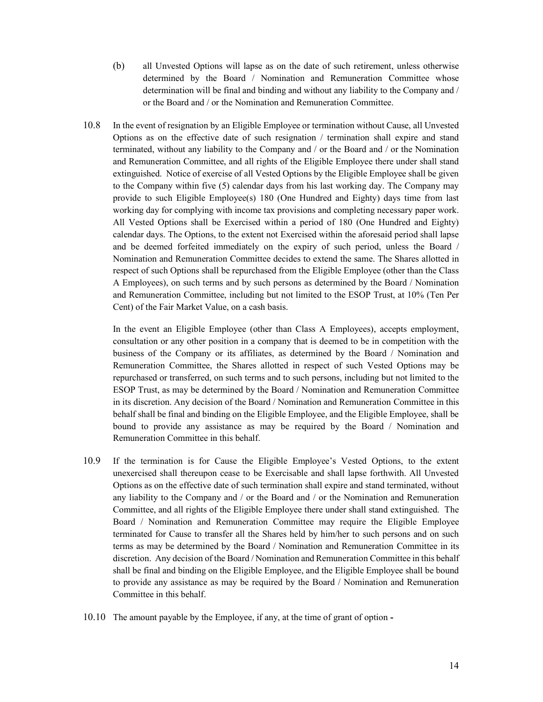- (b) all Unvested Options will lapse as on the date of such retirement, unless otherwise determined by the Board / Nomination and Remuneration Committee whose determination will be final and binding and without any liability to the Company and / or the Board and / or the Nomination and Remuneration Committee.
- 10.8 In the event of resignation by an Eligible Employee or termination without Cause, all Unvested Options as on the effective date of such resignation / termination shall expire and stand terminated, without any liability to the Company and / or the Board and / or the Nomination and Remuneration Committee, and all rights of the Eligible Employee there under shall stand extinguished. Notice of exercise of all Vested Options by the Eligible Employee shall be given to the Company within five (5) calendar days from his last working day. The Company may provide to such Eligible Employee(s) 180 (One Hundred and Eighty) days time from last working day for complying with income tax provisions and completing necessary paper work. All Vested Options shall be Exercised within a period of 180 (One Hundred and Eighty) calendar days. The Options, to the extent not Exercised within the aforesaid period shall lapse and be deemed forfeited immediately on the expiry of such period, unless the Board / Nomination and Remuneration Committee decides to extend the same. The Shares allotted in respect of such Options shall be repurchased from the Eligible Employee (other than the Class A Employees), on such terms and by such persons as determined by the Board / Nomination and Remuneration Committee, including but not limited to the ESOP Trust, at 10% (Ten Per Cent) of the Fair Market Value, on a cash basis.

In the event an Eligible Employee (other than Class A Employees), accepts employment, consultation or any other position in a company that is deemed to be in competition with the business of the Company or its affiliates, as determined by the Board / Nomination and Remuneration Committee, the Shares allotted in respect of such Vested Options may be repurchased or transferred, on such terms and to such persons, including but not limited to the ESOP Trust, as may be determined by the Board / Nomination and Remuneration Committee in its discretion. Any decision of the Board / Nomination and Remuneration Committee in this behalf shall be final and binding on the Eligible Employee, and the Eligible Employee, shall be bound to provide any assistance as may be required by the Board / Nomination and Remuneration Committee in this behalf.

- 10.9 If the termination is for Cause the Eligible Employee's Vested Options, to the extent unexercised shall thereupon cease to be Exercisable and shall lapse forthwith. All Unvested Options as on the effective date of such termination shall expire and stand terminated, without any liability to the Company and / or the Board and / or the Nomination and Remuneration Committee, and all rights of the Eligible Employee there under shall stand extinguished. The Board / Nomination and Remuneration Committee may require the Eligible Employee terminated for Cause to transfer all the Shares held by him/her to such persons and on such terms as may be determined by the Board / Nomination and Remuneration Committee in its discretion. Any decision of the Board / Nomination and Remuneration Committee in this behalf shall be final and binding on the Eligible Employee, and the Eligible Employee shall be bound to provide any assistance as may be required by the Board / Nomination and Remuneration Committee in this behalf.
- 10.10 The amount payable by the Employee, if any, at the time of grant of option -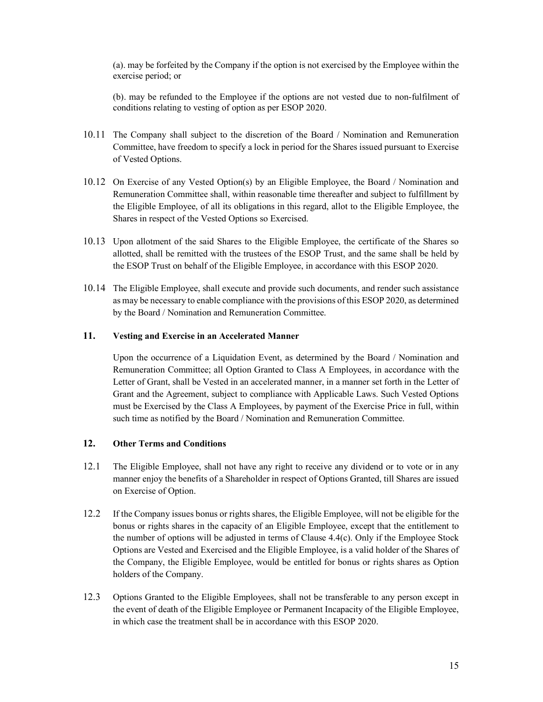(a). may be forfeited by the Company if the option is not exercised by the Employee within the exercise period; or

(b). may be refunded to the Employee if the options are not vested due to non-fulfilment of conditions relating to vesting of option as per ESOP 2020.

- 10.11 The Company shall subject to the discretion of the Board / Nomination and Remuneration Committee, have freedom to specify a lock in period for the Shares issued pursuant to Exercise of Vested Options.
- 10.12 On Exercise of any Vested Option(s) by an Eligible Employee, the Board / Nomination and Remuneration Committee shall, within reasonable time thereafter and subject to fulfillment by the Eligible Employee, of all its obligations in this regard, allot to the Eligible Employee, the Shares in respect of the Vested Options so Exercised.
- 10.13 Upon allotment of the said Shares to the Eligible Employee, the certificate of the Shares so allotted, shall be remitted with the trustees of the ESOP Trust, and the same shall be held by the ESOP Trust on behalf of the Eligible Employee, in accordance with this ESOP 2020.
- 10.14 The Eligible Employee, shall execute and provide such documents, and render such assistance as may be necessary to enable compliance with the provisions of this ESOP 2020, as determined by the Board / Nomination and Remuneration Committee.

#### 11. Vesting and Exercise in an Accelerated Manner

Upon the occurrence of a Liquidation Event, as determined by the Board / Nomination and Remuneration Committee; all Option Granted to Class A Employees, in accordance with the Letter of Grant, shall be Vested in an accelerated manner, in a manner set forth in the Letter of Grant and the Agreement, subject to compliance with Applicable Laws. Such Vested Options must be Exercised by the Class A Employees, by payment of the Exercise Price in full, within such time as notified by the Board / Nomination and Remuneration Committee.

## 12. Other Terms and Conditions

- 12.1 The Eligible Employee, shall not have any right to receive any dividend or to vote or in any manner enjoy the benefits of a Shareholder in respect of Options Granted, till Shares are issued on Exercise of Option.
- 12.2 If the Company issues bonus or rights shares, the Eligible Employee, will not be eligible for the bonus or rights shares in the capacity of an Eligible Employee, except that the entitlement to the number of options will be adjusted in terms of Clause 4.4(c). Only if the Employee Stock Options are Vested and Exercised and the Eligible Employee, is a valid holder of the Shares of the Company, the Eligible Employee, would be entitled for bonus or rights shares as Option holders of the Company.
- 12.3 Options Granted to the Eligible Employees, shall not be transferable to any person except in the event of death of the Eligible Employee or Permanent Incapacity of the Eligible Employee, in which case the treatment shall be in accordance with this ESOP 2020.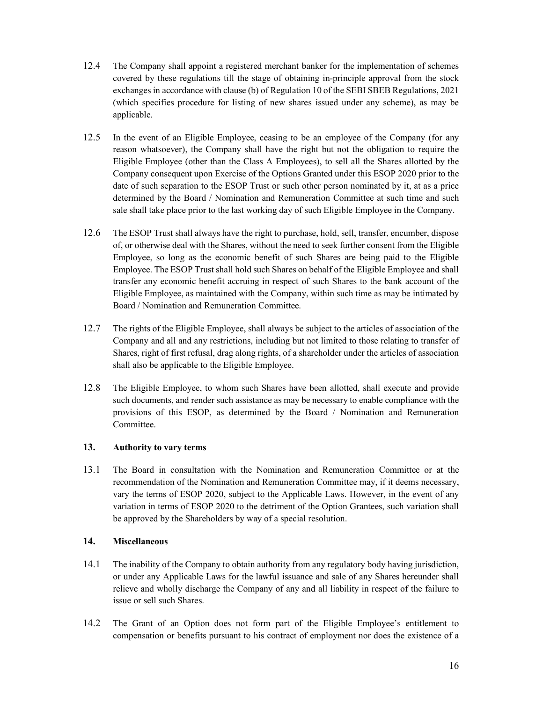- 12.4 The Company shall appoint a registered merchant banker for the implementation of schemes covered by these regulations till the stage of obtaining in-principle approval from the stock exchanges in accordance with clause (b) of Regulation 10 of the SEBI SBEB Regulations, 2021 (which specifies procedure for listing of new shares issued under any scheme), as may be applicable.
- 12.5 In the event of an Eligible Employee, ceasing to be an employee of the Company (for any reason whatsoever), the Company shall have the right but not the obligation to require the Eligible Employee (other than the Class A Employees), to sell all the Shares allotted by the Company consequent upon Exercise of the Options Granted under this ESOP 2020 prior to the date of such separation to the ESOP Trust or such other person nominated by it, at as a price determined by the Board / Nomination and Remuneration Committee at such time and such sale shall take place prior to the last working day of such Eligible Employee in the Company.
- 12.6 The ESOP Trust shall always have the right to purchase, hold, sell, transfer, encumber, dispose of, or otherwise deal with the Shares, without the need to seek further consent from the Eligible Employee, so long as the economic benefit of such Shares are being paid to the Eligible Employee. The ESOP Trust shall hold such Shares on behalf of the Eligible Employee and shall transfer any economic benefit accruing in respect of such Shares to the bank account of the Eligible Employee, as maintained with the Company, within such time as may be intimated by Board / Nomination and Remuneration Committee.
- 12.7 The rights of the Eligible Employee, shall always be subject to the articles of association of the Company and all and any restrictions, including but not limited to those relating to transfer of Shares, right of first refusal, drag along rights, of a shareholder under the articles of association shall also be applicable to the Eligible Employee.
- 12.8 The Eligible Employee, to whom such Shares have been allotted, shall execute and provide such documents, and render such assistance as may be necessary to enable compliance with the provisions of this ESOP, as determined by the Board / Nomination and Remuneration Committee.

## 13. Authority to vary terms

13.1 The Board in consultation with the Nomination and Remuneration Committee or at the recommendation of the Nomination and Remuneration Committee may, if it deems necessary, vary the terms of ESOP 2020, subject to the Applicable Laws. However, in the event of any variation in terms of ESOP 2020 to the detriment of the Option Grantees, such variation shall be approved by the Shareholders by way of a special resolution.

#### 14. Miscellaneous

- 14.1 The inability of the Company to obtain authority from any regulatory body having jurisdiction, or under any Applicable Laws for the lawful issuance and sale of any Shares hereunder shall relieve and wholly discharge the Company of any and all liability in respect of the failure to issue or sell such Shares.
- 14.2 The Grant of an Option does not form part of the Eligible Employee's entitlement to compensation or benefits pursuant to his contract of employment nor does the existence of a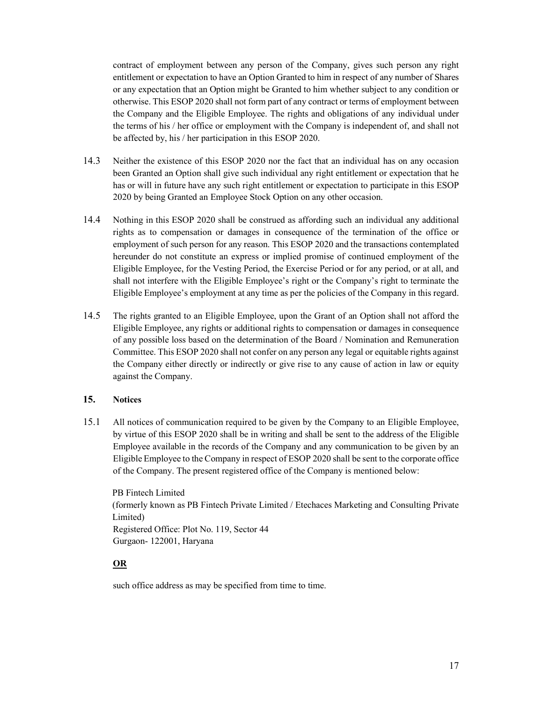contract of employment between any person of the Company, gives such person any right entitlement or expectation to have an Option Granted to him in respect of any number of Shares or any expectation that an Option might be Granted to him whether subject to any condition or otherwise. This ESOP 2020 shall not form part of any contract or terms of employment between the Company and the Eligible Employee. The rights and obligations of any individual under the terms of his / her office or employment with the Company is independent of, and shall not be affected by, his / her participation in this ESOP 2020.

- 14.3 Neither the existence of this ESOP 2020 nor the fact that an individual has on any occasion been Granted an Option shall give such individual any right entitlement or expectation that he has or will in future have any such right entitlement or expectation to participate in this ESOP 2020 by being Granted an Employee Stock Option on any other occasion.
- 14.4 Nothing in this ESOP 2020 shall be construed as affording such an individual any additional rights as to compensation or damages in consequence of the termination of the office or employment of such person for any reason. This ESOP 2020 and the transactions contemplated hereunder do not constitute an express or implied promise of continued employment of the Eligible Employee, for the Vesting Period, the Exercise Period or for any period, or at all, and shall not interfere with the Eligible Employee's right or the Company's right to terminate the Eligible Employee's employment at any time as per the policies of the Company in this regard.
- 14.5 The rights granted to an Eligible Employee, upon the Grant of an Option shall not afford the Eligible Employee, any rights or additional rights to compensation or damages in consequence of any possible loss based on the determination of the Board / Nomination and Remuneration Committee. This ESOP 2020 shall not confer on any person any legal or equitable rights against the Company either directly or indirectly or give rise to any cause of action in law or equity against the Company.

#### 15. Notices

15.1 All notices of communication required to be given by the Company to an Eligible Employee, by virtue of this ESOP 2020 shall be in writing and shall be sent to the address of the Eligible Employee available in the records of the Company and any communication to be given by an Eligible Employee to the Company in respect of ESOP 2020 shall be sent to the corporate office of the Company. The present registered office of the Company is mentioned below:

PB Fintech Limited (formerly known as PB Fintech Private Limited / Etechaces Marketing and Consulting Private Limited) Registered Office: Plot No. 119, Sector 44 Gurgaon- 122001, Haryana

OR

such office address as may be specified from time to time.